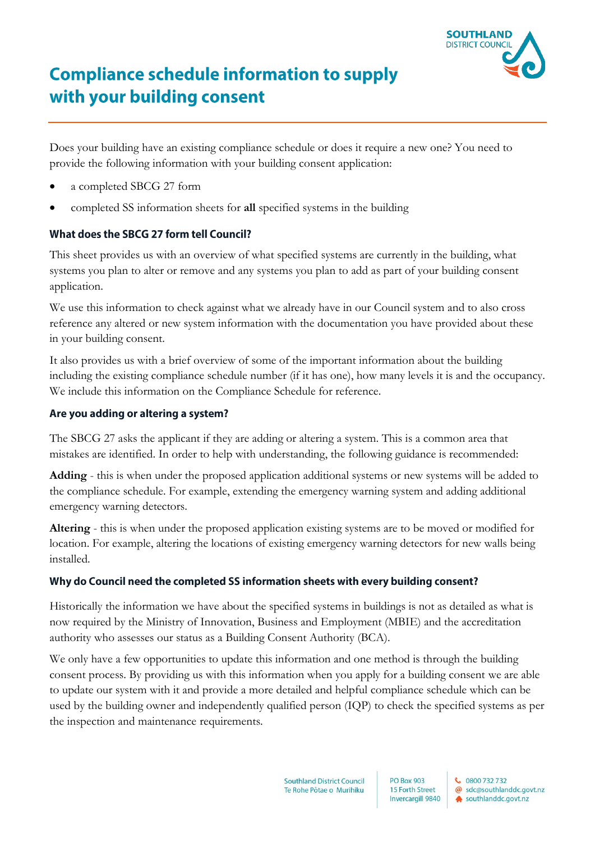

# **Compliance schedule information to supply** with your building consent

Does your building have an existing compliance schedule or does it require a new one? You need to provide the following information with your building consent application:

- a completed SBCG 27 form
- completed SS information sheets for **all** specified systems in the building

# What does the SBCG 27 form tell Council?

This sheet provides us with an overview of what specified systems are currently in the building, what systems you plan to alter or remove and any systems you plan to add as part of your building consent application.

We use this information to check against what we already have in our Council system and to also cross reference any altered or new system information with the documentation you have provided about these in your building consent.

It also provides us with a brief overview of some of the important information about the building including the existing compliance schedule number (if it has one), how many levels it is and the occupancy. We include this information on the Compliance Schedule for reference.

## Are you adding or altering a system?

The SBCG 27 asks the applicant if they are adding or altering a system. This is a common area that mistakes are identified. In order to help with understanding, the following guidance is recommended:

**Adding** - this is when under the proposed application additional systems or new systems will be added to the compliance schedule. For example, extending the emergency warning system and adding additional emergency warning detectors.

**Altering** - this is when under the proposed application existing systems are to be moved or modified for location. For example, altering the locations of existing emergency warning detectors for new walls being installed.

## Why do Council need the completed SS information sheets with every building consent?

Historically the information we have about the specified systems in buildings is not as detailed as what is now required by the Ministry of Innovation, Business and Employment (MBIE) and the accreditation authority who assesses our status as a Building Consent Authority (BCA).

We only have a few opportunities to update this information and one method is through the building consent process. By providing us with this information when you apply for a building consent we are able to update our system with it and provide a more detailed and helpful compliance schedule which can be used by the building owner and independently qualified person (IQP) to check the specified systems as per the inspection and maintenance requirements.

> **Southland District Council** Te Rohe Pôtae o Murihiku

**PO Box 903** 15 Forth Street Invercargill 9840 ₹ 0800 732 732 @ sdc@southlanddc.govt.nz

southlanddc.govt.nz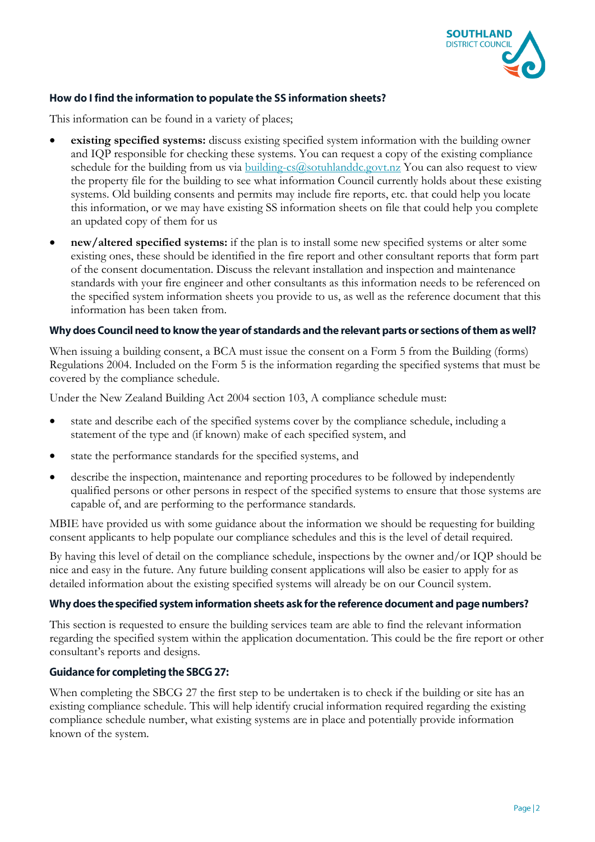

# How do I find the information to populate the SS information sheets?

This information can be found in a variety of places;

- **existing specified systems:** discuss existing specified system information with the building owner and IQP responsible for checking these systems. You can request a copy of the existing compliance schedule for the building from us via building-cs $(a)$ sotuhlanddc.govt.nz You can also request to view the property file for the building to see what information Council currently holds about these existing systems. Old building consents and permits may include fire reports, etc. that could help you locate this information, or we may have existing SS information sheets on file that could help you complete an updated copy of them for us
- **new/altered specified systems:** if the plan is to install some new specified systems or alter some existing ones, these should be identified in the fire report and other consultant reports that form part of the consent documentation. Discuss the relevant installation and inspection and maintenance standards with your fire engineer and other consultants as this information needs to be referenced on the specified system information sheets you provide to us, as well as the reference document that this information has been taken from.

#### Why does Council need to know the year of standards and the relevant parts or sections of them as well?

When issuing a building consent, a BCA must issue the consent on a Form 5 from the Building (forms) Regulations 2004. Included on the Form 5 is the information regarding the specified systems that must be covered by the compliance schedule.

Under the New Zealand Building Act 2004 section 103, A compliance schedule must:

- state and describe each of the specified systems cover by the compliance schedule, including a statement of the type and (if known) make of each specified system, and
- state the performance standards for the specified systems, and
- describe the inspection, maintenance and reporting procedures to be followed by independently qualified persons or other persons in respect of the specified systems to ensure that those systems are capable of, and are performing to the performance standards.

MBIE have provided us with some guidance about the information we should be requesting for building consent applicants to help populate our compliance schedules and this is the level of detail required.

By having this level of detail on the compliance schedule, inspections by the owner and/or IQP should be nice and easy in the future. Any future building consent applications will also be easier to apply for as detailed information about the existing specified systems will already be on our Council system.

#### Why does the specified system information sheets ask for the reference document and page numbers?

This section is requested to ensure the building services team are able to find the relevant information regarding the specified system within the application documentation. This could be the fire report or other consultant's reports and designs.

#### **Guidance for completing the SBCG 27:**

When completing the SBCG 27 the first step to be undertaken is to check if the building or site has an existing compliance schedule. This will help identify crucial information required regarding the existing compliance schedule number, what existing systems are in place and potentially provide information known of the system.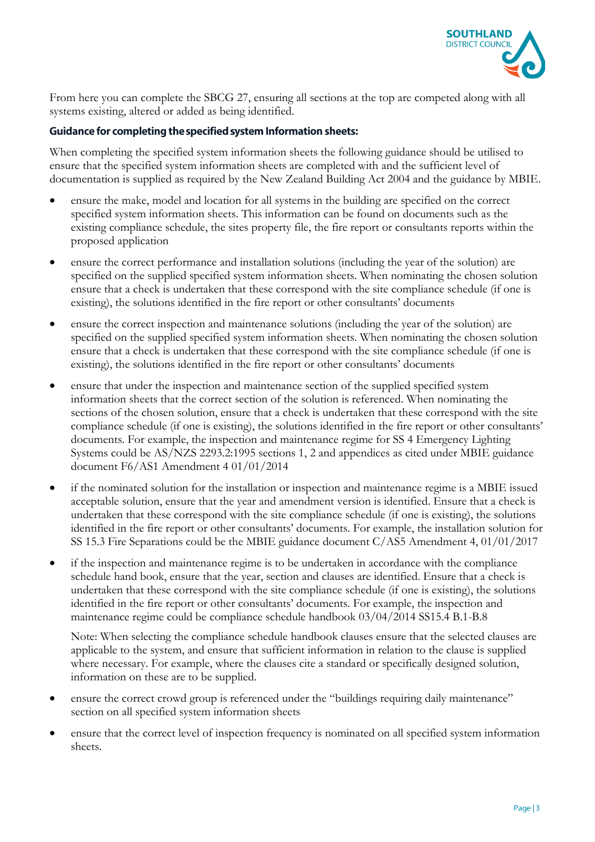

From here you can complete the SBCG 27, ensuring all sections at the top are competed along with all systems existing, altered or added as being identified.

# **Guidance for completing the specified system Information sheets:**

When completing the specified system information sheets the following guidance should be utilised to ensure that the specified system information sheets are completed with and the sufficient level of documentation is supplied as required by the New Zealand Building Act 2004 and the guidance by MBIE.

- ensure the make, model and location for all systems in the building are specified on the correct specified system information sheets. This information can be found on documents such as the existing compliance schedule, the sites property file, the fire report or consultants reports within the proposed application
- ensure the correct performance and installation solutions (including the year of the solution) are specified on the supplied specified system information sheets. When nominating the chosen solution ensure that a check is undertaken that these correspond with the site compliance schedule (if one is existing), the solutions identified in the fire report or other consultants' documents
- ensure the correct inspection and maintenance solutions (including the year of the solution) are specified on the supplied specified system information sheets. When nominating the chosen solution ensure that a check is undertaken that these correspond with the site compliance schedule (if one is existing), the solutions identified in the fire report or other consultants' documents
- ensure that under the inspection and maintenance section of the supplied specified system information sheets that the correct section of the solution is referenced. When nominating the sections of the chosen solution, ensure that a check is undertaken that these correspond with the site compliance schedule (if one is existing), the solutions identified in the fire report or other consultants' documents. For example, the inspection and maintenance regime for SS 4 Emergency Lighting Systems could be AS/NZS 2293.2:1995 sections 1, 2 and appendices as cited under MBIE guidance document F6/AS1 Amendment 4 01/01/2014
- if the nominated solution for the installation or inspection and maintenance regime is a MBIE issued acceptable solution, ensure that the year and amendment version is identified. Ensure that a check is undertaken that these correspond with the site compliance schedule (if one is existing), the solutions identified in the fire report or other consultants' documents. For example, the installation solution for SS 15.3 Fire Separations could be the MBIE guidance document C/AS5 Amendment 4, 01/01/2017
- if the inspection and maintenance regime is to be undertaken in accordance with the compliance schedule hand book, ensure that the year, section and clauses are identified. Ensure that a check is undertaken that these correspond with the site compliance schedule (if one is existing), the solutions identified in the fire report or other consultants' documents. For example, the inspection and maintenance regime could be compliance schedule handbook 03/04/2014 SS15.4 B.1-B.8

Note: When selecting the compliance schedule handbook clauses ensure that the selected clauses are applicable to the system, and ensure that sufficient information in relation to the clause is supplied where necessary. For example, where the clauses cite a standard or specifically designed solution, information on these are to be supplied.

- ensure the correct crowd group is referenced under the "buildings requiring daily maintenance" section on all specified system information sheets
- ensure that the correct level of inspection frequency is nominated on all specified system information sheets.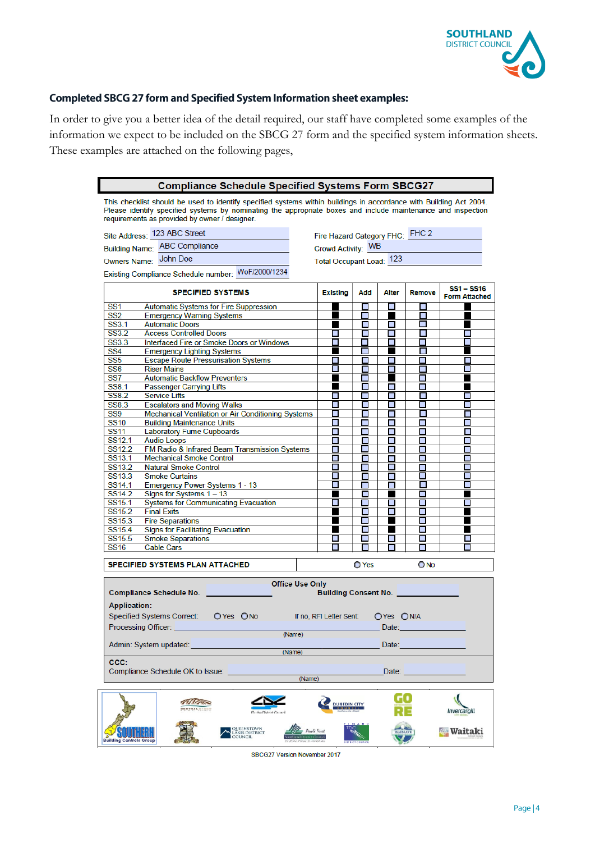

# **Completed SBCG 27 form and Specified System Information sheet examples:**

 $\overline{\phantom{a}}$ 

In order to give you a better idea of the detail required, our staff have completed some examples of the information we expect to be included on the SBCG 27 form and the specified system information sheets. These examples are attached on the following pages,

| <b>Compliance Schedule Specified Systems Form SBCG27</b>                                                                                                                                                                                                                            |                                                            |  |                                 |                               |           |                          |                                                                                                                                                                                                                                |
|-------------------------------------------------------------------------------------------------------------------------------------------------------------------------------------------------------------------------------------------------------------------------------------|------------------------------------------------------------|--|---------------------------------|-------------------------------|-----------|--------------------------|--------------------------------------------------------------------------------------------------------------------------------------------------------------------------------------------------------------------------------|
| This checklist should be used to identify specified systems within buildings in accordance with Building Act 2004.<br>Please identify specified systems by nominating the appropriate boxes and include maintenance and inspection<br>requirements as provided by owner / designer. |                                                            |  |                                 |                               |           |                          |                                                                                                                                                                                                                                |
| Site Address: 123 ABC Street                                                                                                                                                                                                                                                        |                                                            |  | Fire Hazard Category FHC: FHC 2 |                               |           |                          |                                                                                                                                                                                                                                |
|                                                                                                                                                                                                                                                                                     | <b>Building Name: ABC Compliance</b>                       |  | Crowd Activity: WB              |                               |           |                          |                                                                                                                                                                                                                                |
|                                                                                                                                                                                                                                                                                     | John Doe                                                   |  |                                 |                               |           |                          |                                                                                                                                                                                                                                |
| Owners Name:                                                                                                                                                                                                                                                                        |                                                            |  | Total Occupant Load: 123        |                               |           |                          |                                                                                                                                                                                                                                |
|                                                                                                                                                                                                                                                                                     | Existing Compliance Schedule number: WoF/2000/1234         |  |                                 |                               |           |                          |                                                                                                                                                                                                                                |
|                                                                                                                                                                                                                                                                                     | <b>SPECIFIED SYSTEMS</b>                                   |  | <b>Existing</b>                 | Add                           | Alter     | <b>Remove</b>            | $SS1 - SS16$<br><b>Form Attached</b>                                                                                                                                                                                           |
| SS1                                                                                                                                                                                                                                                                                 | <b>Automatic Systems for Fire Suppression</b>              |  |                                 | $\blacksquare$                | $\Box$    |                          |                                                                                                                                                                                                                                |
| SS <sub>2</sub>                                                                                                                                                                                                                                                                     | <b>Emergency Warning Systems</b>                           |  |                                 | $\blacksquare$                |           | П                        |                                                                                                                                                                                                                                |
| SS3.1<br>SS3.2                                                                                                                                                                                                                                                                      | <b>Automatic Doors</b><br><b>Access Controlled Doors</b>   |  | П                               | П<br>П                        | П<br>П    | P.<br>П                  |                                                                                                                                                                                                                                |
| SS3.3                                                                                                                                                                                                                                                                               | Interfaced Fire or Smoke Doors or Windows                  |  | П                               | $\Box$                        | П         | П                        |                                                                                                                                                                                                                                |
| SS <sub>4</sub>                                                                                                                                                                                                                                                                     | <b>Emergency Lighting Systems</b>                          |  |                                 | $\mathbf{r}$                  |           | $\overline{\phantom{0}}$ |                                                                                                                                                                                                                                |
| SS <sub>5</sub>                                                                                                                                                                                                                                                                     | <b>Escape Route Pressurisation Systems</b>                 |  | □                               | П                             | П         | П                        | П                                                                                                                                                                                                                              |
| SS <sub>6</sub>                                                                                                                                                                                                                                                                     | <b>Riser Mains</b>                                         |  | П                               |                               | П         | П                        | П                                                                                                                                                                                                                              |
| SS7                                                                                                                                                                                                                                                                                 | <b>Automatic Backflow Preventers</b>                       |  |                                 | $\blacksquare$                |           | П                        |                                                                                                                                                                                                                                |
| <b>SS8.1</b>                                                                                                                                                                                                                                                                        | <b>Passenger Carrying Lifts</b>                            |  |                                 | ш                             | П         | П                        |                                                                                                                                                                                                                                |
| <b>SS8.2</b>                                                                                                                                                                                                                                                                        | <b>Service Lifts</b>                                       |  | п                               | ⊓                             | П         | П                        | П                                                                                                                                                                                                                              |
| <b>SS8.3</b>                                                                                                                                                                                                                                                                        | <b>Escalators and Moving Walks</b>                         |  | П                               | П                             | П         | П                        | П                                                                                                                                                                                                                              |
| SS9                                                                                                                                                                                                                                                                                 | Mechanical Ventilation or Air Conditioning Systems         |  | □                               | П                             | П         | $\Box$                   | П                                                                                                                                                                                                                              |
| <b>SS10</b>                                                                                                                                                                                                                                                                         | <b>Building Maintenance Units</b>                          |  | П                               | П                             | П         | п                        | П                                                                                                                                                                                                                              |
| <b>SS11</b>                                                                                                                                                                                                                                                                         | <b>Laboratory Fume Cupboards</b>                           |  | $\Box$                          | $\blacksquare$                | П         | П                        | П                                                                                                                                                                                                                              |
| SS <sub>12.1</sub>                                                                                                                                                                                                                                                                  | <b>Audio Loops</b>                                         |  | П                               | $\overline{\phantom{0}}$      | П         | П                        | П                                                                                                                                                                                                                              |
| SS <sub>12.2</sub>                                                                                                                                                                                                                                                                  | FM Radio & Infrared Beam Transmission Systems              |  | П                               | П                             | П         | П                        | П                                                                                                                                                                                                                              |
| SS <sub>13.1</sub>                                                                                                                                                                                                                                                                  | <b>Mechanical Smoke Control</b>                            |  | П                               | Π                             | п         | П                        | П                                                                                                                                                                                                                              |
| SS13.2                                                                                                                                                                                                                                                                              | <b>Natural Smoke Control</b>                               |  | П                               | П                             | П         | $\overline{\phantom{a}}$ | П<br>П                                                                                                                                                                                                                         |
| SS <sub>13.3</sub><br>SS14.1                                                                                                                                                                                                                                                        | <b>Smoke Curtains</b>                                      |  | П<br>П                          | $\overline{\phantom{a}}$<br>П | П<br>П    | $\Box$<br>П              | П                                                                                                                                                                                                                              |
| SS <sub>14.2</sub>                                                                                                                                                                                                                                                                  | Emergency Power Systems 1 - 13<br>Signs for Systems 1 - 13 |  | ٠                               | П                             | ▅         | П                        | a and the second second second second second second second second second second second second second second second second second second second second second second second second second second second second second second se |
| SS <sub>15.1</sub>                                                                                                                                                                                                                                                                  | <b>Systems for Communicating Evacuation</b>                |  | П                               | П                             | П         | П                        | П                                                                                                                                                                                                                              |
| SS15.2                                                                                                                                                                                                                                                                              | <b>Final Exits</b>                                         |  | ٠                               | П                             | П         | $\Box$                   |                                                                                                                                                                                                                                |
| SS15.3                                                                                                                                                                                                                                                                              | <b>Fire Separations</b>                                    |  |                                 | П                             |           | П                        |                                                                                                                                                                                                                                |
| SS15.4                                                                                                                                                                                                                                                                              | <b>Signs for Facilitating Evacuation</b>                   |  |                                 | $\Box$                        |           | $\Box$                   |                                                                                                                                                                                                                                |
| SS15.5                                                                                                                                                                                                                                                                              | <b>Smoke Separations</b>                                   |  | П                               | П                             | П         | П                        | Π                                                                                                                                                                                                                              |
| <b>SS16</b>                                                                                                                                                                                                                                                                         | <b>Cable Cars</b>                                          |  | Π                               |                               |           |                          | П                                                                                                                                                                                                                              |
|                                                                                                                                                                                                                                                                                     |                                                            |  |                                 |                               |           |                          |                                                                                                                                                                                                                                |
|                                                                                                                                                                                                                                                                                     | <b>SPECIFIED SYSTEMS PLAN ATTACHED</b>                     |  |                                 | $\bigcirc$ Yes                |           | O No                     |                                                                                                                                                                                                                                |
| <b>Office Use Only</b><br><b>Building Consent No.</b><br><b>Compliance Schedule No.</b>                                                                                                                                                                                             |                                                            |  |                                 |                               |           |                          |                                                                                                                                                                                                                                |
| <b>Application:</b>                                                                                                                                                                                                                                                                 |                                                            |  |                                 |                               |           |                          |                                                                                                                                                                                                                                |
|                                                                                                                                                                                                                                                                                     | Specified Systems Correct: O Yes O No                      |  | If no, RFI Letter Sent:         |                               | OYes ON/A |                          |                                                                                                                                                                                                                                |
|                                                                                                                                                                                                                                                                                     |                                                            |  |                                 |                               |           |                          |                                                                                                                                                                                                                                |
| Processing Officer:<br>Date:<br>(Name)                                                                                                                                                                                                                                              |                                                            |  |                                 |                               |           |                          |                                                                                                                                                                                                                                |
| Admin: System updated:<br>Date:<br>(Name)                                                                                                                                                                                                                                           |                                                            |  |                                 |                               |           |                          |                                                                                                                                                                                                                                |
| CCC:                                                                                                                                                                                                                                                                                |                                                            |  |                                 |                               |           |                          |                                                                                                                                                                                                                                |
| Compliance Schedule OK to Issue:<br>Date:<br>(Name)                                                                                                                                                                                                                                 |                                                            |  |                                 |                               |           |                          |                                                                                                                                                                                                                                |
|                                                                                                                                                                                                                                                                                     |                                                            |  |                                 |                               |           |                          |                                                                                                                                                                                                                                |
|                                                                                                                                                                                                                                                                                     |                                                            |  | <b>DUNEDIN CITY</b>             |                               |           |                          | Invercargill                                                                                                                                                                                                                   |
|                                                                                                                                                                                                                                                                                     | QUEENSTOWN<br>LAKES DISTRICT<br>COUNCIL                    |  |                                 |                               |           |                          | Waitaki                                                                                                                                                                                                                        |
| <b>Building Controls Group</b>                                                                                                                                                                                                                                                      |                                                            |  |                                 |                               |           |                          |                                                                                                                                                                                                                                |

SBCG27 Version November 2017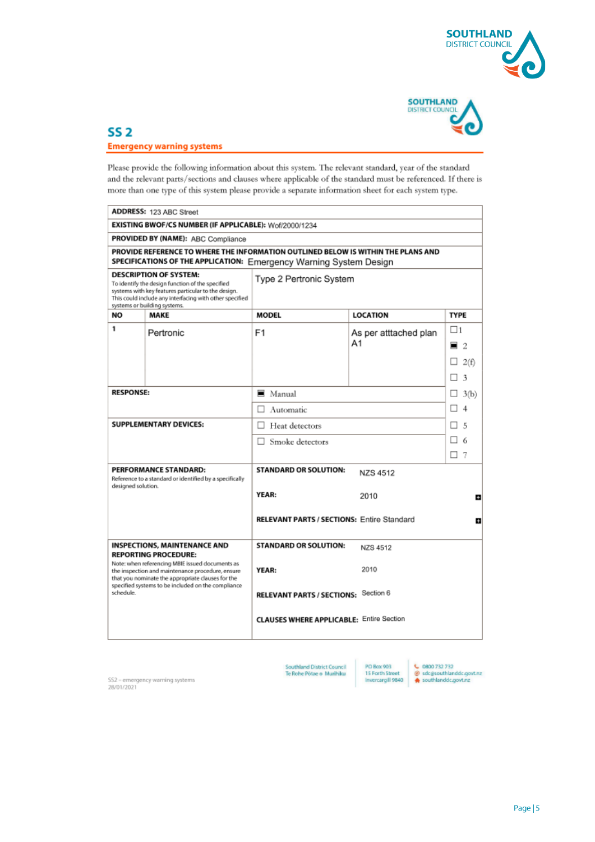



# $SS<sub>2</sub>$ **Emergency warning systems**

Please provide the following information about this system. The relevant standard, year of the standard and the relevant parts/sections and clauses where applicable of the standard must be referenced. If there is more than one type of this system please provide a separate information sheet for each system type.

| ADDRESS: 123 ABC Street                                                                                                                                                                                                                                        |                                                                    |                                                   |                       |                                 |  |  |  |  |
|----------------------------------------------------------------------------------------------------------------------------------------------------------------------------------------------------------------------------------------------------------------|--------------------------------------------------------------------|---------------------------------------------------|-----------------------|---------------------------------|--|--|--|--|
| EXISTING BWOF/CS NUMBER (IF APPLICABLE): Wof/2000/1234                                                                                                                                                                                                         |                                                                    |                                                   |                       |                                 |  |  |  |  |
| PROVIDED BY (NAME): ABC Compliance                                                                                                                                                                                                                             |                                                                    |                                                   |                       |                                 |  |  |  |  |
| PROVIDE REFERENCE TO WHERE THE INFORMATION OUTLINED BELOW IS WITHIN THE PLANS AND<br>SPECIFICATIONS OF THE APPLICATION: Emergency Warning System Design                                                                                                        |                                                                    |                                                   |                       |                                 |  |  |  |  |
| <b>DESCRIPTION OF SYSTEM:</b><br>Type 2 Pertronic System<br>To identify the design function of the specified<br>systems with key features particular to the design.<br>This could include any interfacing with other specified<br>systems or building systems. |                                                                    |                                                   |                       |                                 |  |  |  |  |
| NO                                                                                                                                                                                                                                                             | MAKE                                                               | <b>MODEL</b>                                      | <b>LOCATION</b>       | <b>TYPE</b>                     |  |  |  |  |
| 1                                                                                                                                                                                                                                                              | Pertronic                                                          | F <sub>1</sub><br>As per atttached plan<br>Α1     |                       | $\square$ 1<br>$\blacksquare$ 2 |  |  |  |  |
|                                                                                                                                                                                                                                                                |                                                                    |                                                   |                       |                                 |  |  |  |  |
|                                                                                                                                                                                                                                                                |                                                                    |                                                   |                       | 2(f)                            |  |  |  |  |
|                                                                                                                                                                                                                                                                |                                                                    |                                                   |                       | 3<br>п                          |  |  |  |  |
| <b>RESPONSE:</b>                                                                                                                                                                                                                                               |                                                                    | $\blacksquare$ Manual                             | $\Box$ 3(b)           |                                 |  |  |  |  |
|                                                                                                                                                                                                                                                                |                                                                    | Automatic<br>П                                    | п<br>$\boldsymbol{4}$ |                                 |  |  |  |  |
| SUPPLEMENTARY DEVICES:                                                                                                                                                                                                                                         |                                                                    | □<br>Heat detectors                               |                       | п<br>5                          |  |  |  |  |
|                                                                                                                                                                                                                                                                |                                                                    | Smoke detectors<br>п                              | п.<br>-6              |                                 |  |  |  |  |
|                                                                                                                                                                                                                                                                |                                                                    |                                                   |                       | П7                              |  |  |  |  |
| PERFORMANCE STANDARD:<br>Reference to a standard or identified by a specifically<br>designed solution.                                                                                                                                                         |                                                                    | <b>STANDARD OR SOLUTION:</b>                      | <b>NZS 4512</b>       |                                 |  |  |  |  |
|                                                                                                                                                                                                                                                                |                                                                    | YEAR:                                             | 2010                  | e                               |  |  |  |  |
|                                                                                                                                                                                                                                                                |                                                                    | <b>RELEVANT PARTS / SECTIONS: Entire Standard</b> |                       | n                               |  |  |  |  |
|                                                                                                                                                                                                                                                                | <b>INSPECTIONS, MAINTENANCE AND</b><br><b>REPORTING PROCEDURE:</b> | <b>STANDARD OR SOLUTION:</b>                      | NZS 4512              |                                 |  |  |  |  |
| Note: when referencing MBIE issued documents as<br>the inspection and maintenance procedure, ensure<br>that you nominate the appropriate clauses for the<br>specified systems to be included on the compliance<br>schedule.                                    |                                                                    | YEAR:                                             | 2010                  |                                 |  |  |  |  |
|                                                                                                                                                                                                                                                                |                                                                    | RELEVANT PARTS / SECTIONS: Section 6              |                       |                                 |  |  |  |  |
|                                                                                                                                                                                                                                                                |                                                                    | <b>CLAUSES WHERE APPLICABLE: Entire Section</b>   |                       |                                 |  |  |  |  |
|                                                                                                                                                                                                                                                                |                                                                    |                                                   |                       |                                 |  |  |  |  |

Southland District Council<br>Te Rohe Põtae o Murihiku

**PD Box 903** PO Box 903<br>15 Forth Street<br>Invercargill 9840

↓ 0800 732 732<br>@ sdc@southlanddc.govt.nz<br>☆ southlanddc.govt.nz